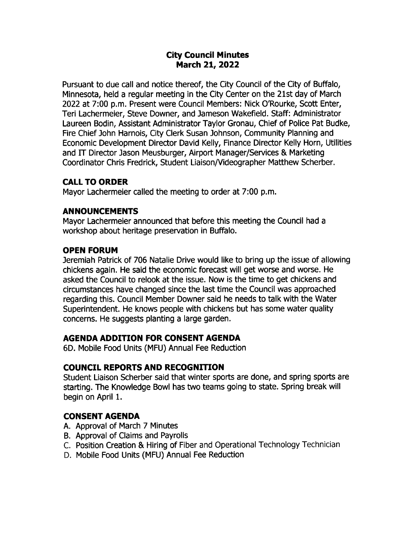# City Council Minutes March 21, 2022

Pursuant to due call and notice thereof, the City Council of the City of Buffalo, Minnesota, held a regular meeting in the City Center on the 21st day of March 2022 at 7:00 p.m. Present were Council Members: Nick O'Rourke, Scott Enter, Teri Lachermeier, Steve Downer, and Jameson Wakefield. Staff: Administrator Laureen Bodin, Assistant Administrator Taylor Gronau, Chief of Police Pat Budke, Fire Chief John Harnois, City Clerk Susan ] ohnson, Community Planning and Economic Development Director David Kelly, Finance Director Kelly Horn, Utilities and IT Director Jason Meusburger, Airport Manager/Services & Marketing Coordinator Chris Fredrick, Student Liaison/ Videographer Matthew Scherber.

# CALL TO ORDER

Mayor Lachermeier called the meeting to order at 7:00 p.m.

# ANNOUNCEMENTS

Mayor Lachermeier announced that before this meeting the Council had a workshop about heritage preservation in Buffalo.

# OPEN FORUM

eremiah Patrick of 706 Natalie Drive would like to bring up the issue of allowing chickens again. He said the economic forecast will get worse and worse. He asked the Council to relook at the issue. Now is the time to get chickens and circumstances have changed since the last time the Council was approached regarding this. Council Member Downer said he needs to talk with the Water Superintendent. He knows people with chickens but has some water quality concerns. He suggests planting a large garden.

# AGENDA ADDITION FOR CONSENT AGENDA

6D. Mobile Food Units ( MFU) Annual Fee Reduction

# COUNCIL REPORTS AND RECOGNITION

Student Liaison Scherber said that winter sports are done, and spring sports are starting. The Knowledge Bowl has two teams going to state. Spring break will begin on April 1.

# CONSENT AGENDA

- A. Approval of March 7 Minutes
- B. Approval of Claims and Payrolls
- C. Position Creation & Hiring of Fiber and Operational Technology Technician
- D. Mobile Food Units ( MFU) Annual Fee Reduction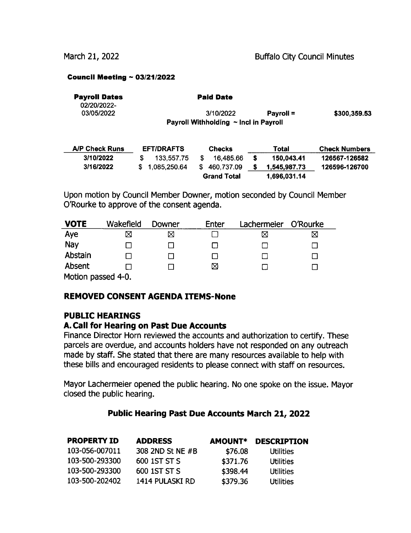#### Council Meeting  $\sim$  03/21/2022

| <b>Payroll Dates</b><br>02/20/2022- | <b>Paid Date</b>                      |                  |              |
|-------------------------------------|---------------------------------------|------------------|--------------|
| 03/05/2022                          | 3/10/2022                             | <b>Pavroll =</b> | \$300,359.53 |
|                                     | Payroll Withholding ~ Incl in Payroll |                  |              |
|                                     |                                       |                  |              |
|                                     |                                       |                  |              |

| <b>A/P Check Runs</b> | <b>EFT/DRAFTS</b> | <b>Checks</b>      | Total             | <b>Check Numbers</b> |
|-----------------------|-------------------|--------------------|-------------------|----------------------|
| 3/10/2022             | 133.557.75        | 16.485.66          | 150.043.41        | 126567-126582        |
| 3/16/2022             | \$1.085,250.64    | 460.737.09         | 1.545.987.73<br>S | 126596-126700        |
|                       |                   | <b>Grand Total</b> | 1.696.031.14      |                      |

Upon motion by Council Member Downer, motion seconded by Council Member O'Rourke to approve of the consent agenda.

| <b>VOTE</b>       | Wakefield | Downer | Enter | Lachermeier | O'Rourke |
|-------------------|-----------|--------|-------|-------------|----------|
| Aye               | ⊠         | ⊠      |       | ⋈           | ⊠        |
| Nay               |           |        |       |             |          |
| Abstain           |           |        |       |             |          |
| Absent            |           |        | ⊠     |             |          |
| Motion naccod 4-0 |           |        |       |             |          |

Motion passed 4-0.

### REMOVED CONSENT AGENDA ITEMS- None

### PUBLIC HEARINGS

### A. Call for Hearing on Past Due Accounts

Finance Director Horn reviewed the accounts and authorization to certify. These parcels are overdue, and accounts holders have not responded on any outreach made by staff. She stated that there are many resources available to help with these bills and encouraged residents to please connect with staff on resources.

Mayor Lachermeier opened the public hearing. No one spoke on the issue. Mayor closed the public hearing.

### Public Hearing Past Due Accounts March 21, 2022

| <b>PROPERTY ID</b> | <b>ADDRESS</b>   | <b>AMOUNT*</b> | <b>DESCRIPTION</b> |
|--------------------|------------------|----------------|--------------------|
| 103-056-007011     | 308 2ND St NE #B | \$76.08        | Utilities          |
| 103-500-293300     | 600 1ST ST S     | \$371.76       | Utilities          |
| 103-500-293300     | 600 1ST ST S     | \$398.44       | Utilities          |
| 103-500-202402     | 1414 PULASKI RD  | \$379.36       | Utilities          |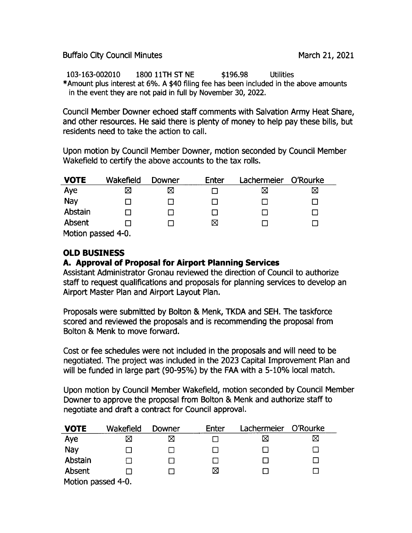Buffalo City Council Minutes **March 21, 2021** 

103- 163- 002010 1800 11TH ST NE 196. 98 Utilities Amount plus interest at 6%. A \$40 filing fee has been included in the above amounts in the event they are not paid in full by November 30, 2022.

Council Member powner echoed staff comments with Salvation Army Heat Share, and other resources. He said there is plenty of money to help pay these bills, but residents need to take the action to call.

Upon motion by Council Member Downer, motion seconded by Council Member Wakefield to certify the above accounts to the tax rolls.

| <b>VOTE</b>       | Wakefield | Downer | Enter | Lachermeier | O'Rourke |
|-------------------|-----------|--------|-------|-------------|----------|
| Aye               | X         | ⊠      |       | ⊠           | ⊠        |
| Nay               |           |        |       |             |          |
| Abstain           |           |        |       |             |          |
| Absent            |           |        | ⊠     |             |          |
| Motion passed 4-0 |           |        |       |             |          |

Motion passed 4- 0.

# OLD BUSINESS

# A. Approval of Proposal for Airport Planning Services

Assistant Administrator Gronau reviewed the direction of Council to authorize staff to request qualifications and proposals for planning services to develop an Airport Master Plan and Airport Layout Plan.

Proposals were submitted by Bolton & Menk, TKDA and SEH. The taskforce scored and reviewed the proposals and is recommending the proposal from Bolton & Menk to move forward.

Cost or fee schedules were not included in the proposals and will need to be negotiated. The project was included in the 2023 Capital Improvement Plan and will be funded in large part (90-95%) by the FAA with a 5-10% local match.

Upon motion by Council Member Wakefield, motion seconded by Council Member Downer to approve the proposal from Bolton & Menk and authorize stafF to negotiate and draft a contract for Council approval.

| <b>VOTE</b>        | Wakefield | Downer | Enter | Lachermeier | O'Rourke |
|--------------------|-----------|--------|-------|-------------|----------|
| Aye                | ⊠         | ⊠      |       | $\boxtimes$ | ⊠        |
| Nay                |           |        |       |             |          |
| Abstain            |           |        |       |             |          |
| Absent             |           |        | ⊠     |             |          |
| Motion passed 4-0. |           |        |       |             |          |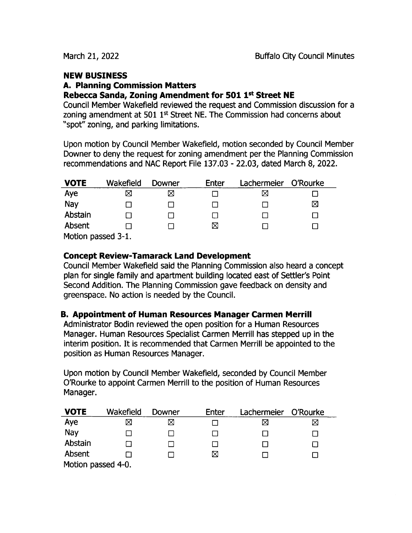# NEW BUSINESS

#### A. Planning Commission Matters Rebecca Sanda, Zoning Amendment for 501 1st Street NE

Council Member Wakefield reviewed the request and Commission discussion for a zoning amendment at  $501 \, 1^{st}$  Street NE. The Commission had concerns about spot" zoning, and parking limitations.

Upon motion by Council Member Wakefield, motion seconded by Council Member Downer to deny the request for zoning amendment per the Planning Commission recommendations and NAC Report File 137. 03 - 22. 03, dated March 8, 2022.

| <b>VOTE</b>        | Wakefield | Downer | <b>Enter</b> | Lachermeier O'Rourke |   |
|--------------------|-----------|--------|--------------|----------------------|---|
| Aye                | ⊠         | ⋈      |              |                      |   |
| Nay                |           |        |              |                      | ⊠ |
| Abstain            |           |        |              |                      |   |
| Absent             |           |        | ⊠            |                      |   |
| Motion passed 3-1. |           |        |              |                      |   |

# Concept Review- Tamarack Land Development

Council Member Wakefield said the Planning Commission also heard a concept plan for single family and apartment building located east of Settler's Point Second Addition. The Planning Commission gave feedback on density and greenspace. No action is needed by the Council.

# B. Appointment of Human Resources Manager Carmen Merrill

Administrator Bodin reviewed the open position for a Human Resources Manager. Human Resources Specialist Carmen Merrill has stepped up in the interim position. It is recommended that Carmen Merrill be appointed to the position as Human Resources Manager.

Upon motion by Council Member Wakefield, seconded by Council Member 0'Rourke to appoint Carmen Merrill to the position of Human Resources Manager.

| <b>VOTE</b>        | Wakefield | Downer | Enter | Lachermeier | O'Rourke |  |
|--------------------|-----------|--------|-------|-------------|----------|--|
| Aye                | ⊠         | ⊠      |       |             | ⊠        |  |
| Nay                |           |        |       |             |          |  |
| Abstain            |           |        |       |             |          |  |
| Absent             |           |        | ⊠     |             |          |  |
| Motion passed 4-0. |           |        |       |             |          |  |